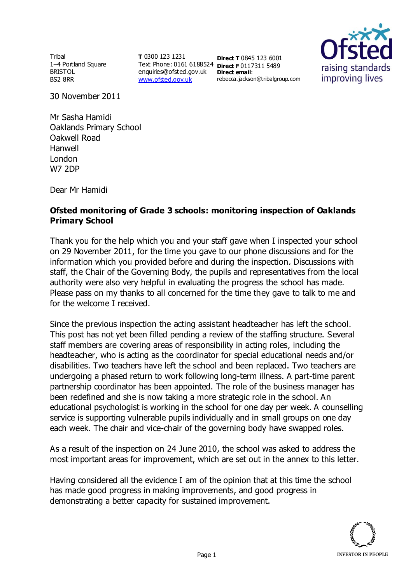Tribal 1–4 Portland Square BRISTOL BS2 8RR

**T** 0300 123 1231 Text Phone: 0161 6188524 **Direct F** 0117311 5489 enquiries@ofsted.gov.uk **Direct email**: [www.ofsted.gov.uk](http://www.ofsted.gov.uk/)

**Direct T** 0845 123 6001 rebecca.jackson@tribalgroup.com



30 November 2011

Mr Sasha Hamidi Oaklands Primary School Oakwell Road Hanwell London W7 2DP

Dear Mr Hamidi

## **Ofsted monitoring of Grade 3 schools: monitoring inspection of Oaklands Primary School**

Thank you for the help which you and your staff gave when I inspected your school on 29 November 2011, for the time you gave to our phone discussions and for the information which you provided before and during the inspection. Discussions with staff, the Chair of the Governing Body, the pupils and representatives from the local authority were also very helpful in evaluating the progress the school has made. Please pass on my thanks to all concerned for the time they gave to talk to me and for the welcome I received.

Since the previous inspection the acting assistant headteacher has left the school. This post has not yet been filled pending a review of the staffing structure. Several staff members are covering areas of responsibility in acting roles, including the headteacher, who is acting as the coordinator for special educational needs and/or disabilities. Two teachers have left the school and been replaced. Two teachers are undergoing a phased return to work following long-term illness. A part-time parent partnership coordinator has been appointed. The role of the business manager has been redefined and she is now taking a more strategic role in the school. An educational psychologist is working in the school for one day per week. A counselling service is supporting vulnerable pupils individually and in small groups on one day each week. The chair and vice-chair of the governing body have swapped roles.

As a result of the inspection on 24 June 2010, the school was asked to address the most important areas for improvement, which are set out in the annex to this letter.

Having considered all the evidence I am of the opinion that at this time the school has made good progress in making improvements, and good progress in demonstrating a better capacity for sustained improvement.

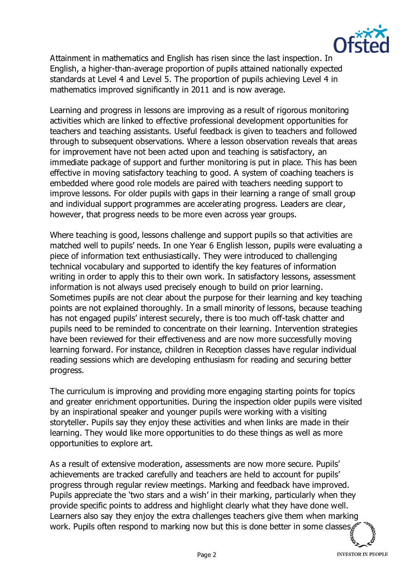

Attainment in mathematics and English has risen since the last inspection. In English, a higher-than-average proportion of pupils attained nationally expected standards at Level 4 and Level 5. The proportion of pupils achieving Level 4 in mathematics improved significantly in 2011 and is now average.

Learning and progress in lessons are improving as a result of rigorous monitoring activities which are linked to effective professional development opportunities for teachers and teaching assistants. Useful feedback is given to teachers and followed through to subsequent observations. Where a lesson observation reveals that areas for improvement have not been acted upon and teaching is satisfactory, an immediate package of support and further monitoring is put in place. This has been effective in moving satisfactory teaching to good. A system of coaching teachers is embedded where good role models are paired with teachers needing support to improve lessons. For older pupils with gaps in their learning a range of small group and individual support programmes are accelerating progress. Leaders are clear, however, that progress needs to be more even across year groups.

Where teaching is good, lessons challenge and support pupils so that activities are matched well to pupils' needs. In one Year 6 English lesson, pupils were evaluating a piece of information text enthusiastically. They were introduced to challenging technical vocabulary and supported to identify the key features of information writing in order to apply this to their own work. In satisfactory lessons, assessment information is not always used precisely enough to build on prior learning. Sometimes pupils are not clear about the purpose for their learning and key teaching points are not explained thoroughly. In a small minority of lessons, because teaching has not engaged pupils' interest securely, there is too much off-task chatter and pupils need to be reminded to concentrate on their learning. Intervention strategies have been reviewed for their effectiveness and are now more successfully moving learning forward. For instance, children in Reception classes have regular individual reading sessions which are developing enthusiasm for reading and securing better progress.

The curriculum is improving and providing more engaging starting points for topics and greater enrichment opportunities. During the inspection older pupils were visited by an inspirational speaker and younger pupils were working with a visiting storyteller. Pupils say they enjoy these activities and when links are made in their learning. They would like more opportunities to do these things as well as more opportunities to explore art.

As a result of extensive moderation, assessments are now more secure. Pupils' achievements are tracked carefully and teachers are held to account for pupils' progress through regular review meetings. Marking and feedback have improved. Pupils appreciate the 'two stars and a wish' in their marking, particularly when they provide specific points to address and highlight clearly what they have done well. Learners also say they enjoy the extra challenges teachers give them when marking work. Pupils often respond to marking now but this is done better in some classes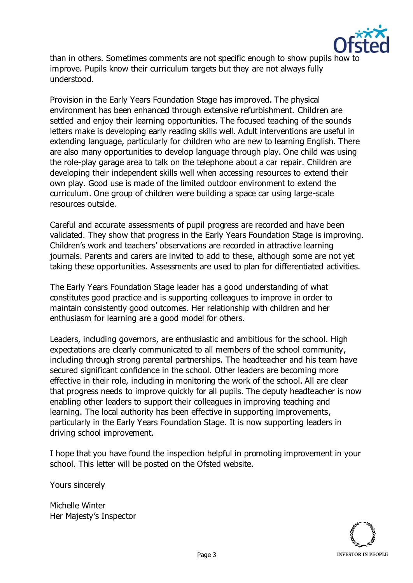

than in others. Sometimes comments are not specific enough to show pupils how to improve. Pupils know their curriculum targets but they are not always fully understood.

Provision in the Early Years Foundation Stage has improved. The physical environment has been enhanced through extensive refurbishment. Children are settled and enjoy their learning opportunities. The focused teaching of the sounds letters make is developing early reading skills well. Adult interventions are useful in extending language, particularly for children who are new to learning English. There are also many opportunities to develop language through play. One child was using the role-play garage area to talk on the telephone about a car repair. Children are developing their independent skills well when accessing resources to extend their own play. Good use is made of the limited outdoor environment to extend the curriculum. One group of children were building a space car using large-scale resources outside.

Careful and accurate assessments of pupil progress are recorded and have been validated. They show that progress in the Early Years Foundation Stage is improving. Children's work and teachers' observations are recorded in attractive learning journals. Parents and carers are invited to add to these, although some are not yet taking these opportunities. Assessments are used to plan for differentiated activities.

The Early Years Foundation Stage leader has a good understanding of what constitutes good practice and is supporting colleagues to improve in order to maintain consistently good outcomes. Her relationship with children and her enthusiasm for learning are a good model for others.

Leaders, including governors, are enthusiastic and ambitious for the school. High expectations are clearly communicated to all members of the school community, including through strong parental partnerships. The headteacher and his team have secured significant confidence in the school. Other leaders are becoming more effective in their role, including in monitoring the work of the school. All are clear that progress needs to improve quickly for all pupils. The deputy headteacher is now enabling other leaders to support their colleagues in improving teaching and learning. The local authority has been effective in supporting improvements, particularly in the Early Years Foundation Stage. It is now supporting leaders in driving school improvement.

I hope that you have found the inspection helpful in promoting improvement in your school. This letter will be posted on the Ofsted website.

Yours sincerely

Michelle Winter Her Majesty's Inspector